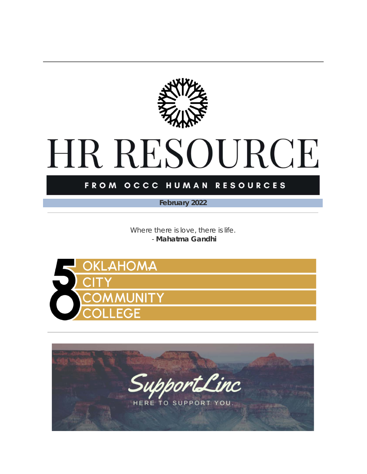

## HR RESOURCE

#### FROM OCCC HUMAN RESOURCES

*February 2022*

*Where there is love, there is life.* - **Mahatma Gandhi**



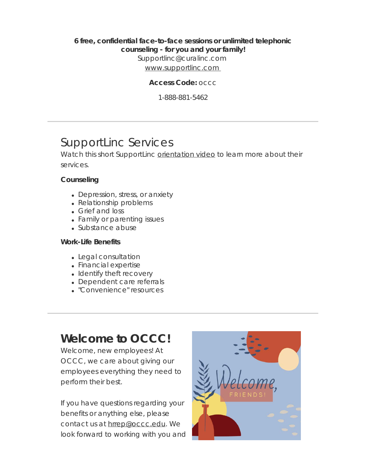#### **6 free, confidential face-to-face sessions or unlimited telephonic counseling - for you and your family!**

Supportlinc@curalinc.com

[www.supportlinc.com](https://t.e2ma.net/click/7uza2sc/3bm47xl/ft7l14pe) 

**Access Code:** occc

1-888-881-5462

## SupportLinc Services

Watch this short SupportLinc [orientation](https://t.e2ma.net/click/7uza2sc/3bm47xl/vl8l14pe) video to learn more about their services.

#### **Counseling**

- Depression, stress, or anxiety
- Relationship problems
- Grief and loss
- Family or parenting issues
- Substance abuse

#### **Work-Life Benefits**

- Legal consultation
- Financial expertise
- Identify theft recovery
- Dependent care referrals
- "Convenience" resources

## **Welcome to OCCC!**

Welcome, new employees! At OCCC, we care about giving our employees everything they need to perform their best.

If you have questions regarding your benefits or anything else, please contact us at [hrrep@occc.edu](mailto:hrrep@occc.edu). We look forward to working with you and

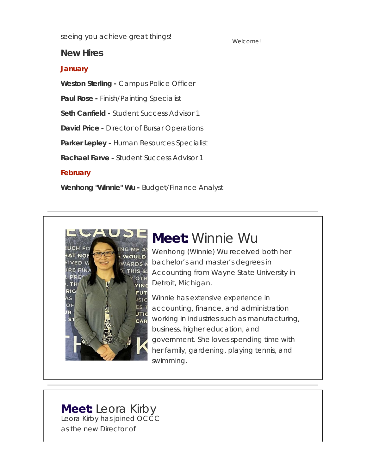seeing you achieve great things!

#### **New Hires**

#### **January**

**Weston Sterling -** Campus Police Officer

**Paul Rose -** Finish/Painting Specialist

**Seth Canfield -** Student Success Advisor 1

**David Price -** Director of Bursar Operations

**Parker Lepley -** Human Resources Specialist

**Rachael Farve -** Student Success Advisor 1

#### **February**

**Wenhong "Winnie" Wu -** Budget/Finance Analyst



## **Meet:** Winnie Wu

Wenhong (Winnie) Wu received both her bachelor's and master's degrees in Accounting from Wayne State University in Detroit, Michigan.

Winnie has extensive experience in accounting, finance, and administration working in industries such as manufacturing, business, higher education, and government. She loves spending time with her family, gardening, playing tennis, and swimming.

**Meet:** Leora Kirby Leora Kirby has joined OCCC as the new Director of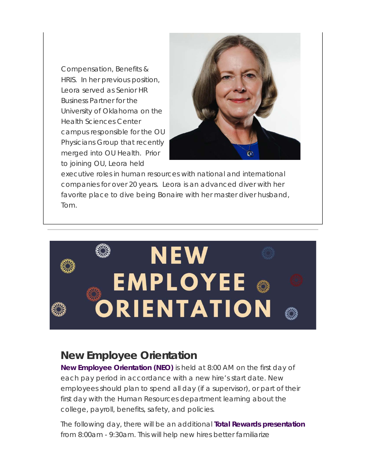Compensation, Benefits & HRIS. In her previous position, Leora served as Senior HR Business Partner for the University of Oklahoma on the Health Sciences Center campus responsible for the OU Physicians Group that recently merged into OU Health. Prior to joining OU, Leora held



executive roles in human resources with national and international companies for over 20 years. Leora is an advanced diver with her favorite place to dive being Bonaire with her master diver husband, Tom.



## **New Employee Orientation**

**New Employee Orientation (NEO)** is held at 8:00 AM on the first day of each pay period in accordance with a new hire's start date. New employees should plan to spend all day (if a supervisor), or part of their first day with the Human Resources department learning about the college, payroll, benefits, safety, and policies.

The following day, there will be an additional **Total Rewards presentation** from 8:00am - 9:30am. This will help new hires better familiarize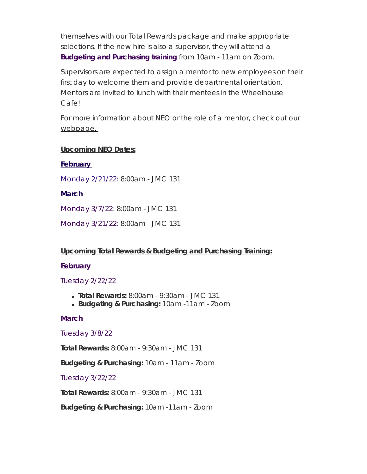themselves with our Total Rewards package and make appropriate selections. If the new hire is also a supervisor, they will attend a **Budgeting and Purchasing training** from 10am - 11am on Zoom.

Supervisors are expected to assign a mentor to new employees on their first day to welcome them and provide departmental orientation. Mentors are invited to lunch with their mentees in the Wheelhouse Cafe!

For more information about NEO or the role of a mentor, check out our webpage.

#### **Upcoming NEO Dates:**

#### **February**

Monday 2/21/22: 8:00am - JMC 131

#### **March**

Monday 3/7/22: 8:00am - JMC 131

Monday 3/21/22: 8:00am - JMC 131

#### **Upcoming Total Rewards & Budgeting and Purchasing Training:**

#### **February**

Tuesday 2/22/22

- **Total Rewards:** 8:00am 9:30am JMC 131
- **Budgeting & Purchasing:** 10am -11am Zoom

#### **March**

#### Tuesday 3/8/22

**Total Rewards:** 8:00am - 9:30am - JMC 131

**Budgeting & Purchasing:** 10am - 11am - Zoom

#### Tuesday 3/22/22

**Total Rewards:** 8:00am - 9:30am - JMC 131

**Budgeting & Purchasing:** 10am -11am - Zoom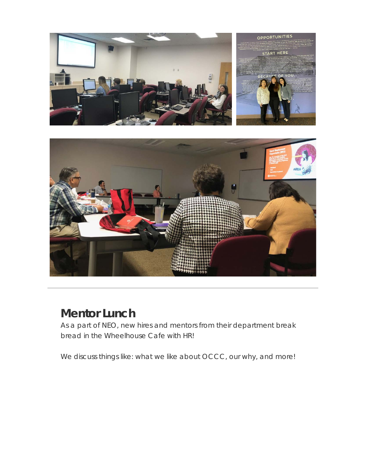

## **Mentor Lunch**

As a part of NEO, new hires and mentors from their department break bread in the Wheelhouse Cafe with HR!

We discuss things like: what we like about OCCC, our why, and more!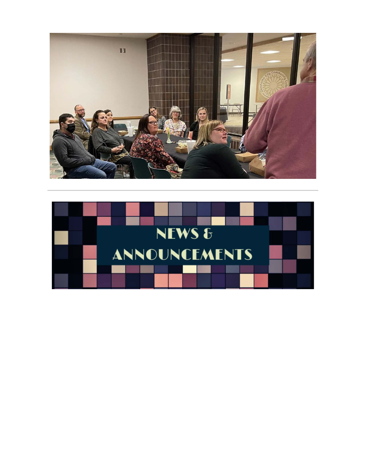

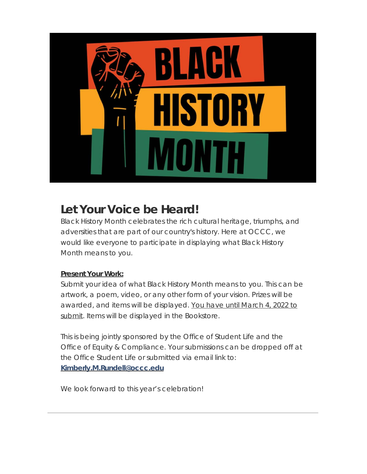

## **Let Your Voice be Heard!**

Black History Month celebrates the rich cultural heritage, triumphs, and adversities that are part of our country's history. Here at OCCC, we would like everyone to participate in displaying what Black History Month means to you.

#### **Present Your Work:**

Submit your idea of what Black History Month means to you. This can be artwork, a poem, video, or any other form of your vision. Prizes will be awarded, and items will be displayed. You have until March 4, 2022 to submit. Items will be displayed in the Bookstore.

This is being jointly sponsored by the Office of Student Life and the Office of Equity & Compliance. Your submissions can be dropped off at the Office Student Life or submitted via email link to: **[Kimberly.M.Rundell@occc.edu](https://t.e2ma.net/click/7uza2sc/3bm47xl/r69l14pe)**

We look forward to this year's celebration!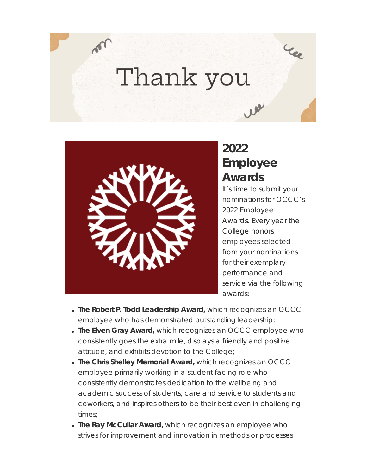## Thank you



## **2022 Employee Awards**

lee

It's time to submit your nominations for OCCC's 2022 Employee Awards. Every year the College honors employees selected from your nominations for their exemplary performance and service via the following awards:

- **The Robert P. Todd Leadership Award,** which recognizes an OCCC employee who has demonstrated outstanding leadership;
- **The Elven Gray Award,** which recognizes an OCCC employee who consistently goes the extra mile, displays a friendly and positive attitude, and exhibits devotion to the College;
- **The Chris Shelley Memorial Award,** which recognizes an OCCC employee primarily working in a student facing role who consistently demonstrates dedication to the wellbeing and academic success of students, care and service to students and coworkers, and inspires others to be their best even in challenging times;
- **The Ray McCullar Award,** which recognizes an employee who strives for improvement and innovation in methods or processes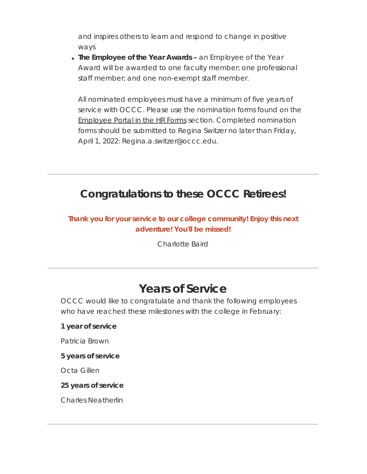and inspires others to learn and respond to change in positive ways

**The Employee of the Year Awards –** an Employee of the Year Award will be awarded to one faculty member; one professional staff member; and one non-exempt staff member.

All nominated employees must have a minimum of five years of service with OCCC. Please use the nomination forms found on the [Employee](https://t.e2ma.net/click/7uza2sc/3bm47xl/7yam14pe) Portal in the HR Forms section. Completed nomination forms should be submitted to Regina Switzer no later than Friday, April 1, 2022: Regina.a.switzer@occc.edu.

## **Congratulations to these OCCC Retirees!**

#### **Thank you for your service to our college community! Enjoy this next adventure! You'll be missed!**

Charlotte Baird

## **Years of Service**

OCCC would like to congratulate and thank the following employees who have reached these milestones with the college in February:

#### **1 year of service**

Patricia Brown

#### **5 years of service**

Octa Gillen

#### **25 years of service**

Charles Neatherlin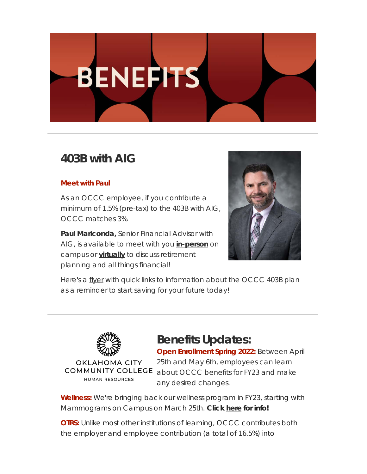# **BENEFITS**

## **403B with AIG**

#### **Meet with Paul**

As an OCCC employee, if you contribute a minimum of 1.5% (pre-tax) to the 403B with AIG, OCCC matches 3%.

**Paul Mariconda,** Senior Financial Advisor with AIG, is available to meet with you **[in-person](https://t.e2ma.net/click/7uza2sc/3bm47xl/nrbm14pe)** on campus or **[virtually](https://t.e2ma.net/click/7uza2sc/3bm47xl/3jcm14pe)** to discuss retirement planning and all things financial!



Here's a [flyer](https://t.e2ma.net/click/7uza2sc/3bm47xl/jcdm14pe) with quick links to information about the OCCC 403B plan as a reminder to start saving for your future today!



## **Benefits Updates:**

**Open Enrollment Spring 2022:** Between April 25th and May 6th, employees can learn **COMMUNITY COLLEGE** about OCCC benefits for FY23 and make any desired changes.

**Wellness:** We're bringing back our wellness program in FY23, starting with Mammograms on Campus on March 25th. **Click [here](https://t.e2ma.net/click/7uza2sc/3bm47xl/z4dm14pe) for info!**

**OTRS:** Unlike most other institutions of learning, OCCC contributes both the employer and employee contribution (a total of 16.5%) into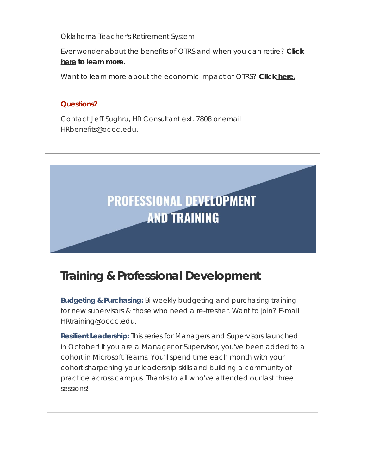Oklahoma Teacher's Retirement System!

Ever wonder about the benefits of OTRS and when you can retire? **Click [here](https://t.e2ma.net/click/7uza2sc/3bm47xl/fxem14pe) to learn more.**

Want to learn more about the economic impact of OTRS? **Click [here.](https://t.e2ma.net/click/7uza2sc/3bm47xl/vpfm14pe)**

#### **Questions?**

Contact Jeff Sughru, HR Consultant ext. 7808 or email HRbenefits@occc.edu.



## **Training & Professional Development**

**Budgeting & Purchasing:** Bi-weekly budgeting and purchasing training for new supervisors & those who need a re-fresher. Want to join? E-mail HRtraining@occc.edu.

**Resilient Leadership:** This series for Managers and Supervisors launched in October! If you are a Manager or Supervisor, you've been added to a cohort in Microsoft Teams. You'll spend time each month with your cohort sharpening your leadership skills and building a community of practice across campus. Thanks to all who've attended our last three sessions!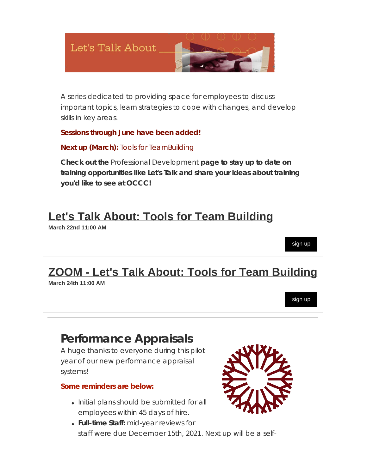

A series dedicated to providing space for employees to discuss important topics, learn strategies to cope with changes, and develop skills in key areas.

#### **Sessions through June have been added!**

#### **Next up (March):** Tools for TeamBuilding

**Check out the** Professional [Development](https://t.e2ma.net/click/7uza2sc/3bm47xl/bigm14pe) **page to stay up to date on training opportunities like Let's Talk and share your ideas about training you'd like to see at OCCC!**

## **[Let's Talk About: Tools for Team Building](https://t.e2ma.net/click/7uza2sc/3bm47xl/rahm14pe)**

**March 22nd 11:00 AM**

## **[ZOOM - Let's Talk About: Tools for Team Building](https://t.e2ma.net/click/7uza2sc/3bm47xl/nvim14pe)**

**March 24th 11:00 AM**

[sign up](https://t.e2ma.net/click/7uza2sc/3bm47xl/3njm14pe)

[sign up](https://t.e2ma.net/click/7uza2sc/3bm47xl/72hm14pe)

## **Performance Appraisals**

A huge thanks to everyone during this pilot year of our new performance appraisal systems!

#### **Some reminders are below:**

- Initial plans should be submitted for all employees within 45 days of hire.
- **Full-time Staff:** mid-year reviews for staff were due December 15th, 2021. Next up will be a self-

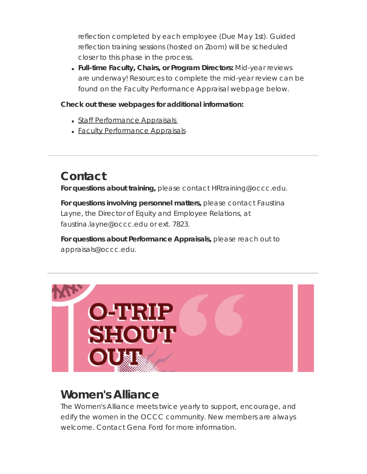reflection completed by each employee (Due May 1st). Guided reflection training sessions (hosted on Zoom) will be scheduled closer to this phase in the process.

**Full-time Faculty, Chairs, or Program Directors:** Mid-year reviews are underway! Resources to complete the mid-year review can be found on the Faculty Performance Appraisal webpage below.

#### **Check out these webpages for additional information:**

- Staff [Performance](https://t.e2ma.net/click/7uza2sc/3bm47xl/jgkm14pe) Appraisals
- Faculty [Performance](https://t.e2ma.net/click/7uza2sc/3bm47xl/z8km14pe) Appraisals

## **Contact**

**For questions about training,** please contact HRtraining@occc.edu.

**For questions involving personnel matters,** please contact Faustina Layne, the Director of Equity and Employee Relations, at faustina.layne@occc.edu or ext. 7823.

**For questions about Performance Appraisals,** please reach out to appraisals@occc.edu.



## **Women's Alliance**

The Women's Alliance meets twice yearly to support, encourage, and edify the women in the OCCC community. New members are always welcome. Contact Gena Ford for more information.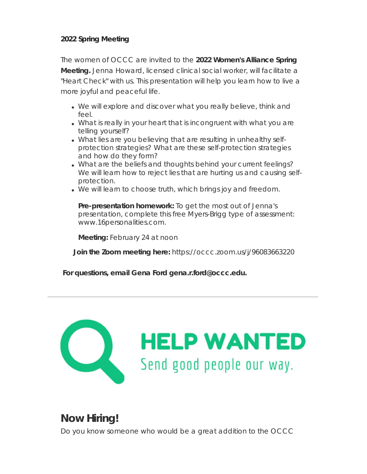#### **2022 Spring Meeting**

The women of OCCC are invited to the **2022 Women's Alliance Spring Meeting.** Jenna Howard, licensed clinical social worker, will facilitate a "Heart Check" with us. This presentation will help you learn how to live a more joyful and peaceful life.

- We will explore and discover what you really believe, think and feel.
- What is really in your heart that is incongruent with what you are telling yourself?
- What lies are you believing that are resulting in unhealthy selfprotection strategies? What are these self-protection strategies and how do they form?
- What are the beliefs and thoughts behind your current feelings? We will learn how to reject lies that are hurting us and causing selfprotection.
- We will learn to choose truth, which brings joy and freedom.

**Pre-presentation homework:** To get the most out of Jenna's presentation, complete this free Myers-Brigg type of assessment: www.16personalities.com.

**Meeting:** February 24 at noon

 **Join the Zoom meeting here:** https://occc.zoom.us/j/96083663220

**For questions, email Gena Ford gena.r.ford@occc.edu.**



## **Now Hiring!**

Do you know someone who would be a great addition to the OCCC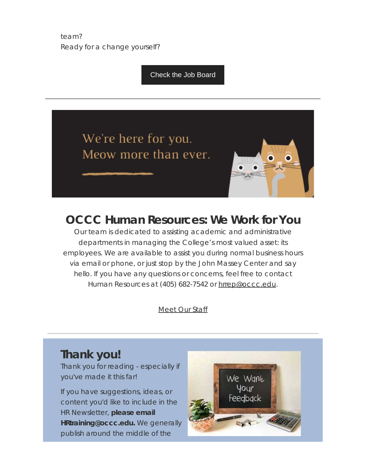team? Ready for a change yourself?

[Check the Job Board](https://t.e2ma.net/click/7uza2sc/3bm47xl/f1lm14pe)





Our team is dedicated to assisting academic and administrative departments in managing the College's most valued asset: its employees. We are available to assist you during normal business hours via email or phone, or just stop by the John Massey Center and say hello. If you have any questions or concerns, feel free to contact Human Resources at (405) 682-7542 or [hrrep@occc.edu](mailto:hrrep@occc.edu).

[Meet](https://t.e2ma.net/click/7uza2sc/3bm47xl/vtmm14pe) Our Staff

## **Thank you!**

Thank you for reading - especially if you've made it this far!

If you have suggestions, ideas, or content you'd like to include in the HR Newsletter, **please email HRtraining@occc.edu.** We generally publish around the middle of the